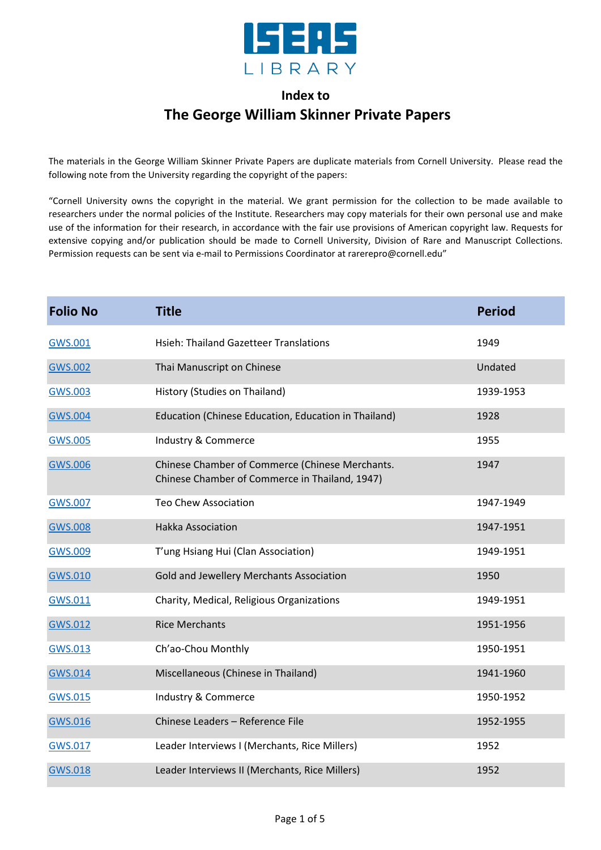

## **Index to The George William Skinner Private Papers**

The materials in the George William Skinner Private Papers are duplicate materials from Cornell University. Please read the following note from the University regarding the copyright of the papers:

"Cornell University owns the copyright in the material. We grant permission for the collection to be made available to researchers under the normal policies of the Institute. Researchers may copy materials for their own personal use and make use of the information for their research, in accordance with the fair use provisions of American copyright law. Requests for extensive copying and/or publication should be made to Cornell University, Division of Rare and Manuscript Collections. Permission requests can be sent via e-mail to Permissions Coordinator at rarerepro@cornell.edu"

| <b>Folio No</b> | <b>Title</b>                                                                                      | <b>Period</b> |
|-----------------|---------------------------------------------------------------------------------------------------|---------------|
| GWS.001         | <b>Hsieh: Thailand Gazetteer Translations</b>                                                     | 1949          |
| <b>GWS.002</b>  | Thai Manuscript on Chinese                                                                        | Undated       |
| GWS.003         | History (Studies on Thailand)                                                                     | 1939-1953     |
| <b>GWS.004</b>  | Education (Chinese Education, Education in Thailand)                                              | 1928          |
| <b>GWS.005</b>  | Industry & Commerce                                                                               | 1955          |
| GWS.006         | Chinese Chamber of Commerce (Chinese Merchants.<br>Chinese Chamber of Commerce in Thailand, 1947) | 1947          |
| <b>GWS.007</b>  | <b>Teo Chew Association</b>                                                                       | 1947-1949     |
| <b>GWS.008</b>  | <b>Hakka Association</b>                                                                          | 1947-1951     |
| <b>GWS.009</b>  | T'ung Hsiang Hui (Clan Association)                                                               | 1949-1951     |
| <b>GWS.010</b>  | Gold and Jewellery Merchants Association                                                          | 1950          |
| GWS.011         | Charity, Medical, Religious Organizations                                                         | 1949-1951     |
| GWS.012         | <b>Rice Merchants</b>                                                                             | 1951-1956     |
| GWS.013         | Ch'ao-Chou Monthly                                                                                | 1950-1951     |
| <b>GWS.014</b>  | Miscellaneous (Chinese in Thailand)                                                               | 1941-1960     |
| <b>GWS.015</b>  | Industry & Commerce                                                                               | 1950-1952     |
| <b>GWS.016</b>  | Chinese Leaders - Reference File                                                                  | 1952-1955     |
| GWS.017         | Leader Interviews I (Merchants, Rice Millers)                                                     | 1952          |
| GWS.018         | Leader Interviews II (Merchants, Rice Millers)                                                    | 1952          |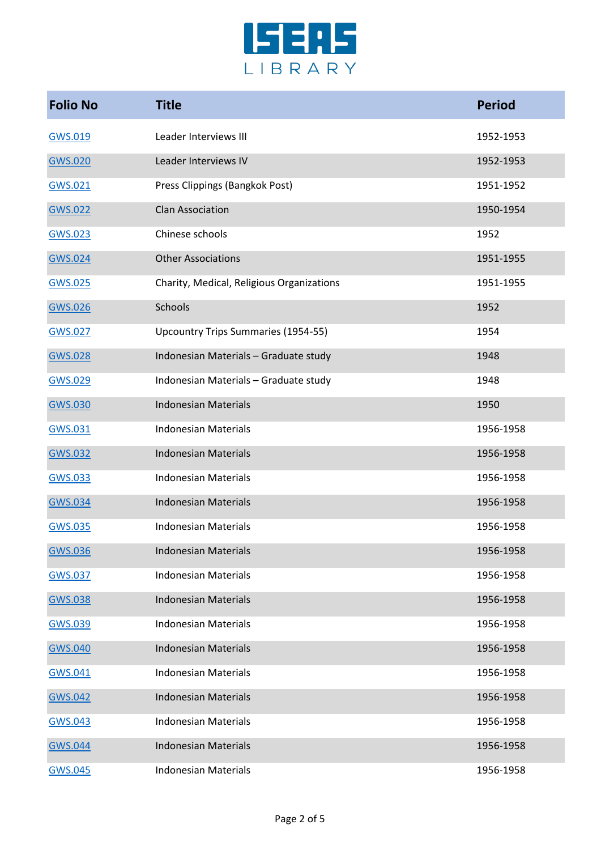

| <b>Folio No</b> | <b>Title</b>                              | <b>Period</b> |
|-----------------|-------------------------------------------|---------------|
| GWS.019         | Leader Interviews III                     | 1952-1953     |
| GWS.020         | Leader Interviews IV                      | 1952-1953     |
| GWS.021         | Press Clippings (Bangkok Post)            | 1951-1952     |
| GWS.022         | <b>Clan Association</b>                   | 1950-1954     |
| GWS.023         | Chinese schools                           | 1952          |
| GWS.024         | <b>Other Associations</b>                 | 1951-1955     |
| GWS.025         | Charity, Medical, Religious Organizations | 1951-1955     |
| GWS.026         | Schools                                   | 1952          |
| <b>GWS.027</b>  | Upcountry Trips Summaries (1954-55)       | 1954          |
| <b>GWS.028</b>  | Indonesian Materials - Graduate study     | 1948          |
| <b>GWS.029</b>  | Indonesian Materials - Graduate study     | 1948          |
| GWS.030         | <b>Indonesian Materials</b>               | 1950          |
| GWS.031         | <b>Indonesian Materials</b>               | 1956-1958     |
| <b>GWS.032</b>  | <b>Indonesian Materials</b>               | 1956-1958     |
| GWS.033         | <b>Indonesian Materials</b>               | 1956-1958     |
| <b>GWS.034</b>  | <b>Indonesian Materials</b>               | 1956-1958     |
| GWS.035         | <b>Indonesian Materials</b>               | 1956-1958     |
| <b>GWS.036</b>  | <b>Indonesian Materials</b>               | 1956-1958     |
| <b>GWS.037</b>  | <b>Indonesian Materials</b>               | 1956-1958     |
| <b>GWS.038</b>  | <b>Indonesian Materials</b>               | 1956-1958     |
| GWS.039         | <b>Indonesian Materials</b>               | 1956-1958     |
| <b>GWS.040</b>  | <b>Indonesian Materials</b>               | 1956-1958     |
| GWS.041         | <b>Indonesian Materials</b>               | 1956-1958     |
| <b>GWS.042</b>  | <b>Indonesian Materials</b>               | 1956-1958     |
| GWS.043         | <b>Indonesian Materials</b>               | 1956-1958     |
| <b>GWS.044</b>  | <b>Indonesian Materials</b>               | 1956-1958     |
| <b>GWS.045</b>  | <b>Indonesian Materials</b>               | 1956-1958     |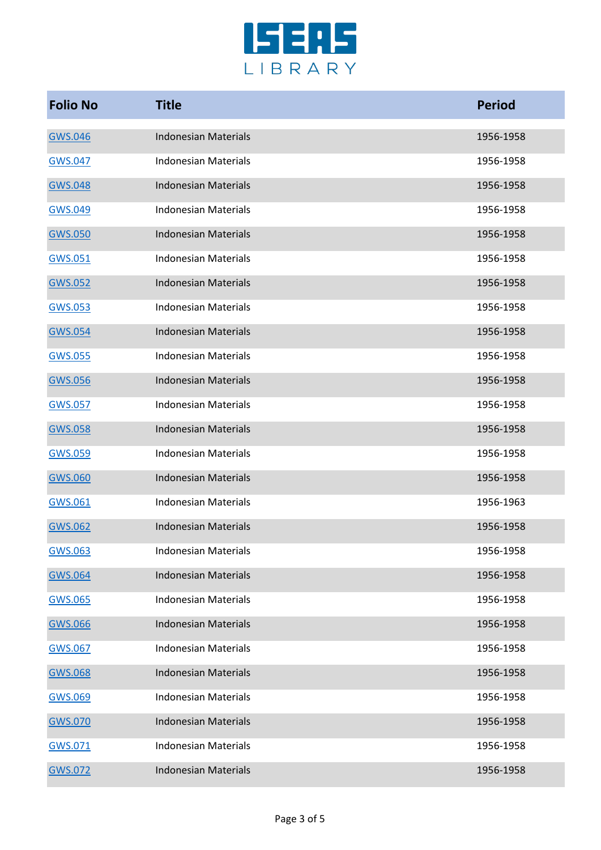

| <b>Folio No</b> | <b>Title</b>                | <b>Period</b> |
|-----------------|-----------------------------|---------------|
| GWS.046         | <b>Indonesian Materials</b> | 1956-1958     |
| GWS.047         | <b>Indonesian Materials</b> | 1956-1958     |
| <b>GWS.048</b>  | <b>Indonesian Materials</b> | 1956-1958     |
| <b>GWS.049</b>  | <b>Indonesian Materials</b> | 1956-1958     |
| <b>GWS.050</b>  | <b>Indonesian Materials</b> | 1956-1958     |
| GWS.051         | <b>Indonesian Materials</b> | 1956-1958     |
| <b>GWS.052</b>  | <b>Indonesian Materials</b> | 1956-1958     |
| GWS.053         | <b>Indonesian Materials</b> | 1956-1958     |
| <b>GWS.054</b>  | <b>Indonesian Materials</b> | 1956-1958     |
| GWS.055         | <b>Indonesian Materials</b> | 1956-1958     |
| <b>GWS.056</b>  | <b>Indonesian Materials</b> | 1956-1958     |
| GWS.057         | <b>Indonesian Materials</b> | 1956-1958     |
| <b>GWS.058</b>  | <b>Indonesian Materials</b> | 1956-1958     |
| GWS.059         | <b>Indonesian Materials</b> | 1956-1958     |
| <b>GWS.060</b>  | <b>Indonesian Materials</b> | 1956-1958     |
| GWS.061         | <b>Indonesian Materials</b> | 1956-1963     |
| <b>GWS.062</b>  | <b>Indonesian Materials</b> | 1956-1958     |
| <b>GWS.063</b>  | <b>Indonesian Materials</b> | 1956-1958     |
| <b>GWS.064</b>  | <b>Indonesian Materials</b> | 1956-1958     |
| <b>GWS.065</b>  | <b>Indonesian Materials</b> | 1956-1958     |
| <b>GWS.066</b>  | <b>Indonesian Materials</b> | 1956-1958     |
| GWS.067         | <b>Indonesian Materials</b> | 1956-1958     |
| <b>GWS.068</b>  | <b>Indonesian Materials</b> | 1956-1958     |
| GWS.069         | <b>Indonesian Materials</b> | 1956-1958     |
| <b>GWS.070</b>  | <b>Indonesian Materials</b> | 1956-1958     |
| GWS.071         | <b>Indonesian Materials</b> | 1956-1958     |
| <b>GWS.072</b>  | <b>Indonesian Materials</b> | 1956-1958     |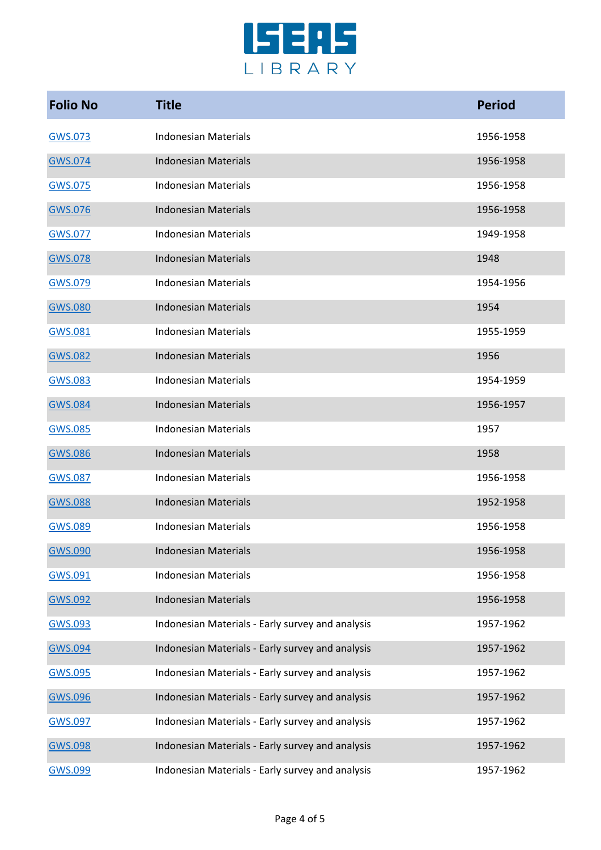

| <b>Folio No</b> | <b>Title</b>                                     | <b>Period</b> |
|-----------------|--------------------------------------------------|---------------|
| GWS.073         | <b>Indonesian Materials</b>                      | 1956-1958     |
| GWS.074         | <b>Indonesian Materials</b>                      | 1956-1958     |
| GWS.075         | <b>Indonesian Materials</b>                      | 1956-1958     |
| GWS.076         | <b>Indonesian Materials</b>                      | 1956-1958     |
| GWS.077         | <b>Indonesian Materials</b>                      | 1949-1958     |
| GWS.078         | <b>Indonesian Materials</b>                      | 1948          |
| GWS.079         | <b>Indonesian Materials</b>                      | 1954-1956     |
| GWS.080         | <b>Indonesian Materials</b>                      | 1954          |
| GWS.081         | <b>Indonesian Materials</b>                      | 1955-1959     |
| <b>GWS.082</b>  | <b>Indonesian Materials</b>                      | 1956          |
| GWS.083         | <b>Indonesian Materials</b>                      | 1954-1959     |
| GWS.084         | <b>Indonesian Materials</b>                      | 1956-1957     |
| GWS.085         | <b>Indonesian Materials</b>                      | 1957          |
| <b>GWS.086</b>  | <b>Indonesian Materials</b>                      | 1958          |
| GWS.087         | <b>Indonesian Materials</b>                      | 1956-1958     |
| <b>GWS.088</b>  | <b>Indonesian Materials</b>                      | 1952-1958     |
| GWS.089         | <b>Indonesian Materials</b>                      | 1956-1958     |
| <b>GWS.090</b>  | <b>Indonesian Materials</b>                      | 1956-1958     |
| GWS.091         | <b>Indonesian Materials</b>                      | 1956-1958     |
| GWS.092         | <b>Indonesian Materials</b>                      | 1956-1958     |
| GWS.093         | Indonesian Materials - Early survey and analysis | 1957-1962     |
| <b>GWS.094</b>  | Indonesian Materials - Early survey and analysis | 1957-1962     |
| GWS.095         | Indonesian Materials - Early survey and analysis | 1957-1962     |
| GWS.096         | Indonesian Materials - Early survey and analysis | 1957-1962     |
| GWS.097         | Indonesian Materials - Early survey and analysis | 1957-1962     |
| <b>GWS.098</b>  | Indonesian Materials - Early survey and analysis | 1957-1962     |
| GWS.099         | Indonesian Materials - Early survey and analysis | 1957-1962     |